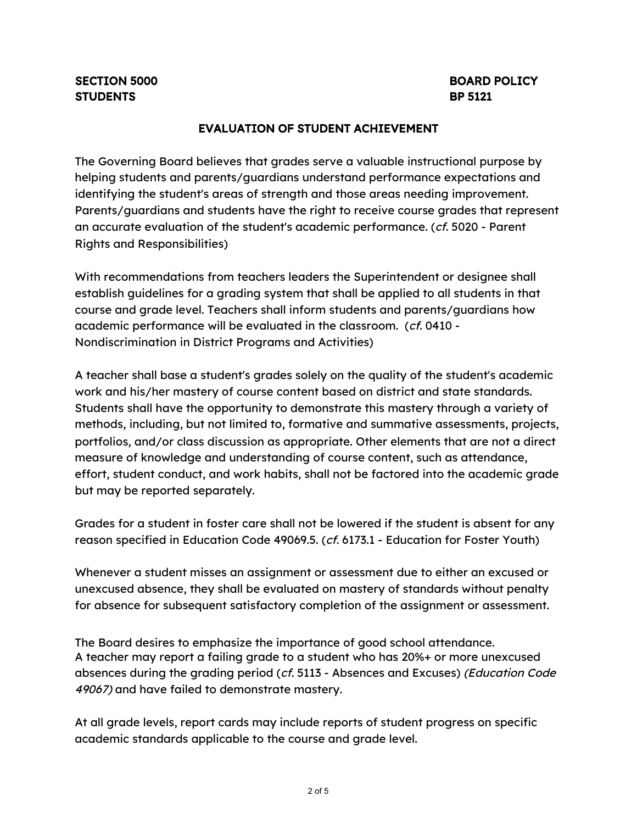## EVALUATION OF STUDENT ACHIEVEMENT

The Governing Board believes that grades serve a valuable instructional purpose by helping students and parents/guardians understand performance expectations and identifying the student's areas of strength and those areas needing improvement. Parents/guardians and students have the right to receive course grades that represent an accurate evaluation of the student's academic performance. (cf. 5020 - Parent Rights and Responsibilities)

With recommendations from teachers leaders the Superintendent or designee shall establish guidelines for a grading system that shall be applied to all students in that course and grade level. Teachers shall inform students and parents/guardians how academic performance will be evaluated in the classroom. (cf. 0410 - Nondiscrimination in District Programs and Activities)

A teacher shall base a student's grades solely on the quality of the student's academic work and his/her mastery of course content based on district and state standards. Students shall have the opportunity to demonstrate this mastery through a variety of methods, including, but not limited to, formative and summative assessments, projects, portfolios, and/or class discussion as appropriate. Other elements that are not a direct measure of knowledge and understanding of course content, such as attendance, effort, student conduct, and work habits, shall not be factored into the academic grade but may be reported separately.

Grades for a student in foster care shall not be lowered if the student is absent for any reason specified in Education Code 49069.5. (cf. 6173.1 - Education for Foster Youth)

Whenever a student misses an assignment or assessment due to either an excused or unexcused absence, they shall be evaluated on mastery of standards without penalty for absence for subsequent satisfactory completion of the assignment or assessment.

The Board desires to emphasize the importance of good school attendance. A teacher may report a failing grade to a student who has 20%+ or more unexcused absences during the grading period (cf. 5113 - Absences and Excuses) (Education Code 49067) and have failed to demonstrate mastery.

At all grade levels, report cards may include reports of student progress on specific academic standards applicable to the course and grade level.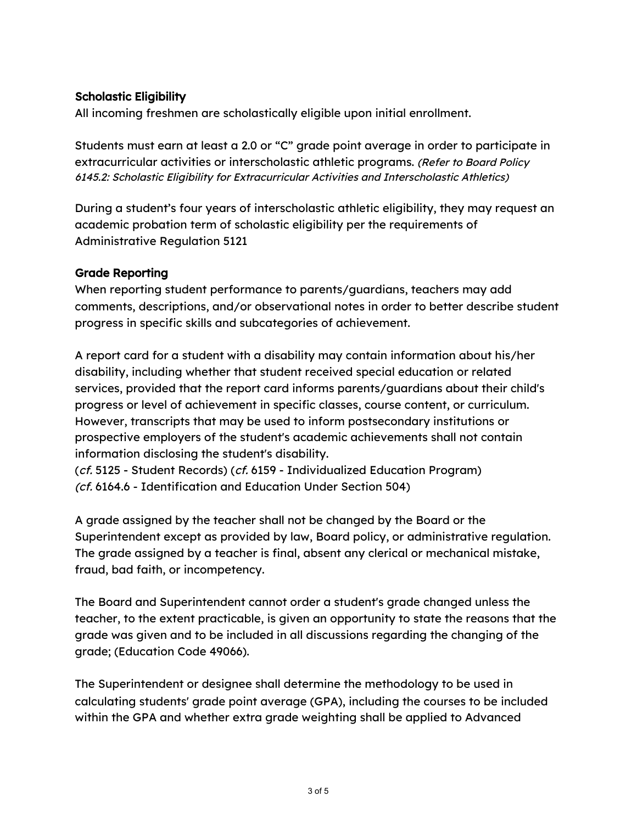## Scholastic Eligibility

All incoming freshmen are scholastically eligible upon initial enrollment.

Students must earn at least a 2.0 or "C" grade point average in order to participate in extracurricular activities or interscholastic athletic programs. (Refer to Board Policy 6145.2: Scholastic Eligibility for Extracurricular Activities and Interscholastic Athletics)

During a student's four years of interscholastic athletic eligibility, they may request an academic probation term of scholastic eligibility per the requirements of Administrative Regulation 5121

## Grade Reporting

When reporting student performance to parents/guardians, teachers may add comments, descriptions, and/or observational notes in order to better describe student progress in specific skills and subcategories of achievement.

A report card for a student with a disability may contain information about his/her disability, including whether that student received special education or related services, provided that the report card informs parents/guardians about their child's progress or level of achievement in specific classes, course content, or curriculum. However, transcripts that may be used to inform postsecondary institutions or prospective employers of the student's academic achievements shall not contain information disclosing the student's disability.

(cf. 5125 - Student Records) (cf. 6159 - Individualized Education Program) (cf. 6164.6 - Identification and Education Under Section 504)

A grade assigned by the teacher shall not be changed by the Board or the Superintendent except as provided by law, Board policy, or administrative regulation. The grade assigned by a teacher is final, absent any clerical or mechanical mistake, fraud, bad faith, or incompetency.

The Board and Superintendent cannot order a student's grade changed unless the teacher, to the extent practicable, is given an opportunity to state the reasons that the grade was given and to be included in all discussions regarding the changing of the grade; (Education Code 49066).

The Superintendent or designee shall determine the methodology to be used in calculating students' grade point average (GPA), including the courses to be included within the GPA and whether extra grade weighting shall be applied to Advanced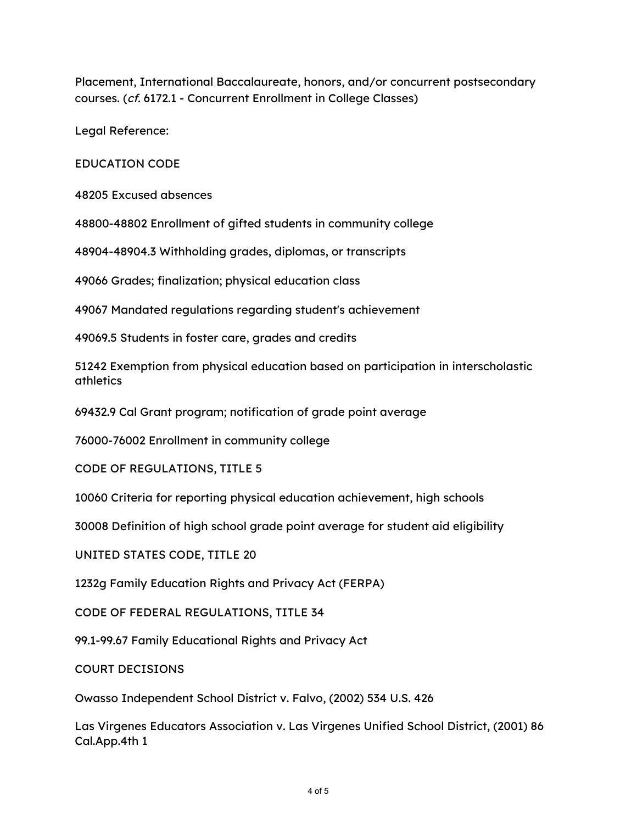Placement, International Baccalaureate, honors, and/or concurrent postsecondary courses. (cf. 6172.1 - Concurrent Enrollment in College Classes)

Legal Reference:

EDUCATION CODE

48205 Excused absences

48800-48802 Enrollment of gifted students in community college

48904-48904.3 Withholding grades, diplomas, or transcripts

49066 Grades; finalization; physical education class

49067 Mandated regulations regarding student's achievement

49069.5 Students in foster care, grades and credits

51242 Exemption from physical education based on participation in interscholastic athletics

69432.9 Cal Grant program; notification of grade point average

76000-76002 Enrollment in community college

CODE OF REGULATIONS, TITLE 5

10060 Criteria for reporting physical education achievement, high schools

30008 Definition of high school grade point average for student aid eligibility

UNITED STATES CODE, TITLE 20

1232g Family Education Rights and Privacy Act (FERPA)

CODE OF FEDERAL REGULATIONS, TITLE 34

99.1-99.67 Family Educational Rights and Privacy Act

COURT DECISIONS

Owasso Independent School District v. Falvo, (2002) 534 U.S. 426

Las Virgenes Educators Association v. Las Virgenes Unified School District, (2001) 86 Cal.App.4th 1